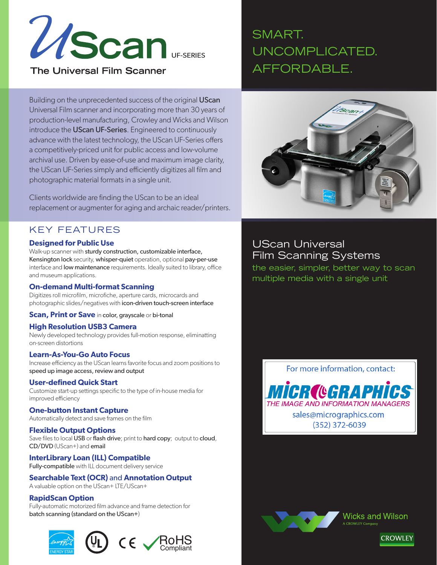

**The Universal Film Scanner** 

# SMART. UNCOMPLICATED. AFFORDABLE.

Building on the unprecedented success of the original UScan Universal Film scanner and incorporating more than 30 years of production-level manufacturing, Crowley and Wicks and Wilson introduce the UScan UF-Series. Engineered to continuously advance with the latest technology, the UScan UF-Series offers a competitively-priced unit for public access and low-volume archival use. Driven by ease-of-use and maximum image clarity, the UScan UF-Series simply and efficiently digitizes all film and photographic material formats in a single unit.

Clients worldwide are finding the UScan to be an ideal replacement or augmenter for aging and archaic reader/printers.

### KEY FEATURES

#### **Designed for Public Use**

Walk-up scanner with sturdy construction, customizable interface, Kensington lock security, whisper-quiet operation, optional pay-per-use interface and **low maintenance** requirements. Ideally suited to library, office and museum applications.

#### **On-demand Multi-format Scanning**

Digitizes roll microfilm, microfiche, aperture cards, microcards and photographic slides/negatives with icon-driven touch-screen interface

**Scan, Print or Save** in color, grayscale or bi-tonal

#### **High Resolution USB3 Camera**

Newly developed technology provides full-motion response, eliminatting on-screen distortions

#### **Learn-As-You-Go Auto Focus**

Increase efficiency as the UScan learns favorite focus and zoom positions to speed up image access, review and output

#### **User-defined Quick Start**

Customize start-up settings specific to the type of in-house media for improved efficiency

#### **One-button Instant Capture**

Automatically detect and save frames on the film

#### **Flexible Output Options**

Save files to local USB or flash drive; print to hard copy; output to cloud, CD/DVD (UScan+) and email

#### **InterLibrary Loan (ILL) Compatible**

Fully-compatible with ILL document delivery service

### **Searchable Text (OCR)** and **Annotation Output**

A valuable option on the UScan+ LTE/UScan+

#### **RapidScan Option**

Fully-automatic motorized film advance and frame detection for batch scanning (standard on the UScan+)





### UScan Universal Film Scanning Systems

the easier, simpler, better way to scan multiple media with a single unit

For more information, contact: